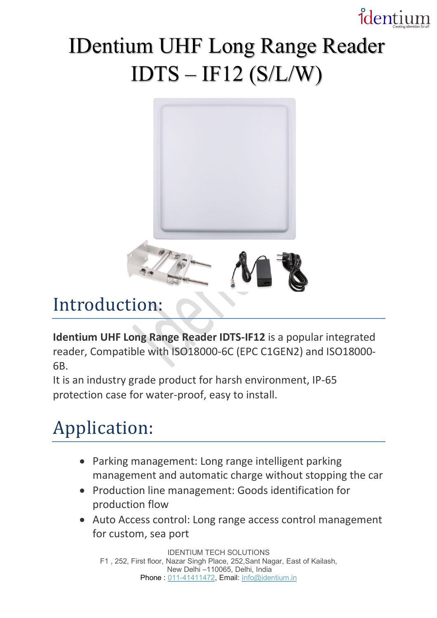## identium

## IDentium UHF Long Range Reader  $IDTS - IF12 (S/L/W)$



## Introduction:

**Identium UHF Long Range Reader IDTS-IF12** is a popular integrated reader, Compatible with ISO18000-6C (EPC C1GEN2) and ISO18000- 6B.

It is an industry grade product for harsh environment, IP-65 protection case for water-proof, easy to install.

## Application:

- Parking management: Long range intelligent parking management and automatic charge without stopping the car
- Production line management: Goods identification for production flow
- Auto Access control: Long range access control management for custom, sea port

IDENTIUM TECH SOLUTIONS F1 , 252, First floor, Nazar Singh Place, 252,Sant Nagar, East of Kailash, New Delhi –110065, Delhi, India Phone: 011-41411472, Email: Info@identium.in